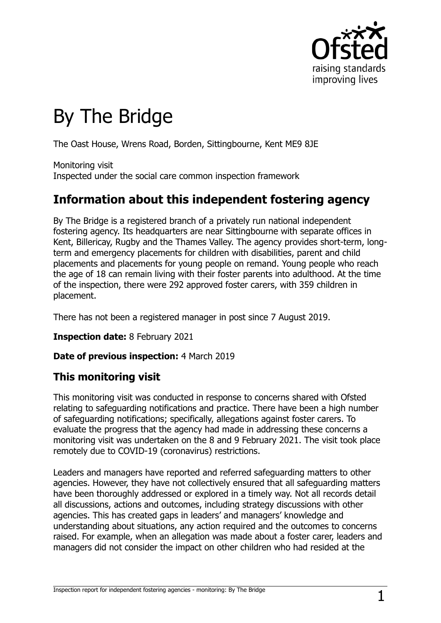

# By The Bridge

The Oast House, Wrens Road, Borden, Sittingbourne, Kent ME9 8JE

Monitoring visit Inspected under the social care common inspection framework

# **Information about this independent fostering agency**

By The Bridge is a registered branch of a privately run national independent fostering agency. Its headquarters are near Sittingbourne with separate offices in Kent, Billericay, Rugby and the Thames Valley. The agency provides short-term, longterm and emergency placements for children with disabilities, parent and child placements and placements for young people on remand. Young people who reach the age of 18 can remain living with their foster parents into adulthood. At the time of the inspection, there were 292 approved foster carers, with 359 children in placement.

There has not been a registered manager in post since 7 August 2019.

**Inspection date:** 8 February 2021

**Date of previous inspection:** 4 March 2019

#### **This monitoring visit**

This monitoring visit was conducted in response to concerns shared with Ofsted relating to safeguarding notifications and practice. There have been a high number of safeguarding notifications; specifically, allegations against foster carers. To evaluate the progress that the agency had made in addressing these concerns a monitoring visit was undertaken on the 8 and 9 February 2021. The visit took place remotely due to COVID-19 (coronavirus) restrictions.

Leaders and managers have reported and referred safeguarding matters to other agencies. However, they have not collectively ensured that all safeguarding matters have been thoroughly addressed or explored in a timely way. Not all records detail all discussions, actions and outcomes, including strategy discussions with other agencies. This has created gaps in leaders' and managers' knowledge and understanding about situations, any action required and the outcomes to concerns raised. For example, when an allegation was made about a foster carer, leaders and managers did not consider the impact on other children who had resided at the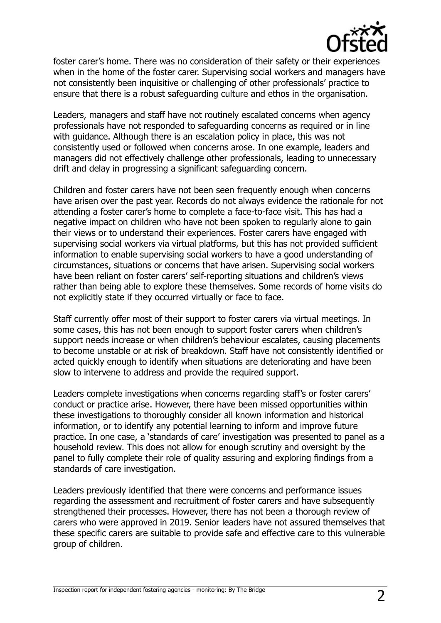

foster carer's home. There was no consideration of their safety or their experiences when in the home of the foster carer. Supervising social workers and managers have not consistently been inquisitive or challenging of other professionals' practice to ensure that there is a robust safeguarding culture and ethos in the organisation.

Leaders, managers and staff have not routinely escalated concerns when agency professionals have not responded to safeguarding concerns as required or in line with guidance. Although there is an escalation policy in place, this was not consistently used or followed when concerns arose. In one example, leaders and managers did not effectively challenge other professionals, leading to unnecessary drift and delay in progressing a significant safeguarding concern.

Children and foster carers have not been seen frequently enough when concerns have arisen over the past year. Records do not always evidence the rationale for not attending a foster carer's home to complete a face-to-face visit. This has had a negative impact on children who have not been spoken to regularly alone to gain their views or to understand their experiences. Foster carers have engaged with supervising social workers via virtual platforms, but this has not provided sufficient information to enable supervising social workers to have a good understanding of circumstances, situations or concerns that have arisen. Supervising social workers have been reliant on foster carers' self-reporting situations and children's views rather than being able to explore these themselves. Some records of home visits do not explicitly state if they occurred virtually or face to face.

Staff currently offer most of their support to foster carers via virtual meetings. In some cases, this has not been enough to support foster carers when children's support needs increase or when children's behaviour escalates, causing placements to become unstable or at risk of breakdown. Staff have not consistently identified or acted quickly enough to identify when situations are deteriorating and have been slow to intervene to address and provide the required support.

Leaders complete investigations when concerns regarding staff's or foster carers' conduct or practice arise. However, there have been missed opportunities within these investigations to thoroughly consider all known information and historical information, or to identify any potential learning to inform and improve future practice. In one case, a 'standards of care' investigation was presented to panel as a household review. This does not allow for enough scrutiny and oversight by the panel to fully complete their role of quality assuring and exploring findings from a standards of care investigation.

Leaders previously identified that there were concerns and performance issues regarding the assessment and recruitment of foster carers and have subsequently strengthened their processes. However, there has not been a thorough review of carers who were approved in 2019. Senior leaders have not assured themselves that these specific carers are suitable to provide safe and effective care to this vulnerable group of children.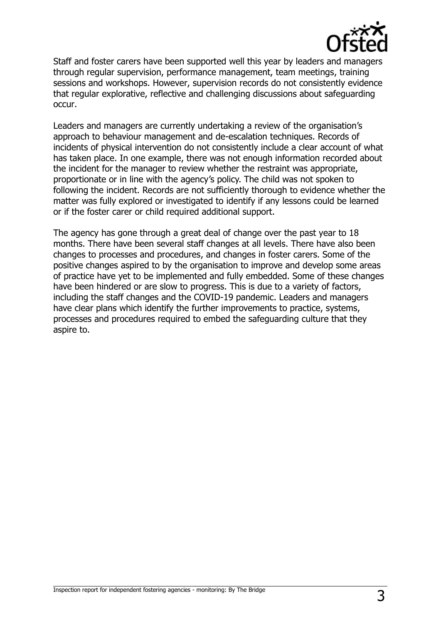

Staff and foster carers have been supported well this year by leaders and managers through regular supervision, performance management, team meetings, training sessions and workshops. However, supervision records do not consistently evidence that regular explorative, reflective and challenging discussions about safeguarding occur.

Leaders and managers are currently undertaking a review of the organisation's approach to behaviour management and de-escalation techniques. Records of incidents of physical intervention do not consistently include a clear account of what has taken place. In one example, there was not enough information recorded about the incident for the manager to review whether the restraint was appropriate, proportionate or in line with the agency's policy. The child was not spoken to following the incident. Records are not sufficiently thorough to evidence whether the matter was fully explored or investigated to identify if any lessons could be learned or if the foster carer or child required additional support.

The agency has gone through a great deal of change over the past year to 18 months. There have been several staff changes at all levels. There have also been changes to processes and procedures, and changes in foster carers. Some of the positive changes aspired to by the organisation to improve and develop some areas of practice have yet to be implemented and fully embedded. Some of these changes have been hindered or are slow to progress. This is due to a variety of factors, including the staff changes and the COVID-19 pandemic. Leaders and managers have clear plans which identify the further improvements to practice, systems, processes and procedures required to embed the safeguarding culture that they aspire to.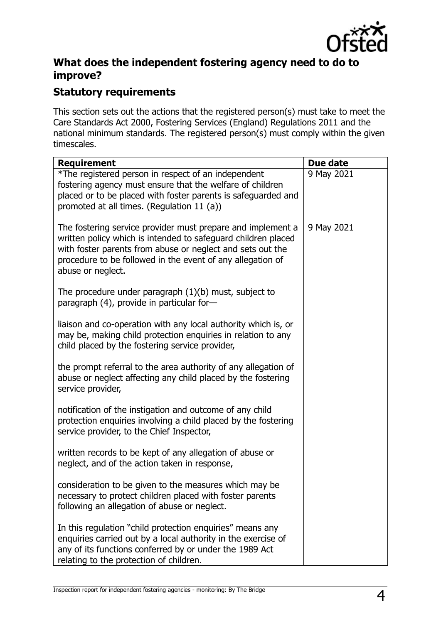

#### **What does the independent fostering agency need to do to improve?**

#### **Statutory requirements**

This section sets out the actions that the registered person(s) must take to meet the Care Standards Act 2000, Fostering Services (England) Regulations 2011 and the national minimum standards. The registered person(s) must comply within the given timescales.

| <b>Requirement</b>                                                                                                                                                                                                                                                            | <b>Due date</b> |
|-------------------------------------------------------------------------------------------------------------------------------------------------------------------------------------------------------------------------------------------------------------------------------|-----------------|
| *The registered person in respect of an independent<br>fostering agency must ensure that the welfare of children<br>placed or to be placed with foster parents is safeguarded and<br>promoted at all times. (Regulation 11 (a))                                               | 9 May 2021      |
| The fostering service provider must prepare and implement a<br>written policy which is intended to safeguard children placed<br>with foster parents from abuse or neglect and sets out the<br>procedure to be followed in the event of any allegation of<br>abuse or neglect. | 9 May 2021      |
| The procedure under paragraph $(1)(b)$ must, subject to<br>paragraph (4), provide in particular for-                                                                                                                                                                          |                 |
| liaison and co-operation with any local authority which is, or<br>may be, making child protection enquiries in relation to any<br>child placed by the fostering service provider,                                                                                             |                 |
| the prompt referral to the area authority of any allegation of<br>abuse or neglect affecting any child placed by the fostering<br>service provider,                                                                                                                           |                 |
| notification of the instigation and outcome of any child<br>protection enquiries involving a child placed by the fostering<br>service provider, to the Chief Inspector,                                                                                                       |                 |
| written records to be kept of any allegation of abuse or<br>neglect, and of the action taken in response,                                                                                                                                                                     |                 |
| consideration to be given to the measures which may be<br>necessary to protect children placed with foster parents<br>following an allegation of abuse or neglect.                                                                                                            |                 |
| In this regulation "child protection enquiries" means any<br>enquiries carried out by a local authority in the exercise of<br>any of its functions conferred by or under the 1989 Act<br>relating to the protection of children.                                              |                 |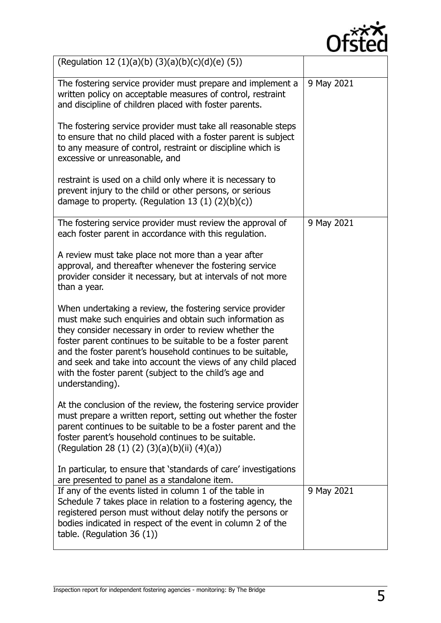

| (Regulation 12 (1)(a)(b) (3)(a)(b)(c)(d)(e) (5))                                                                                                                                                                                                                                                                                                                                                                                                           |            |
|------------------------------------------------------------------------------------------------------------------------------------------------------------------------------------------------------------------------------------------------------------------------------------------------------------------------------------------------------------------------------------------------------------------------------------------------------------|------------|
| The fostering service provider must prepare and implement a<br>written policy on acceptable measures of control, restraint<br>and discipline of children placed with foster parents.                                                                                                                                                                                                                                                                       | 9 May 2021 |
| The fostering service provider must take all reasonable steps<br>to ensure that no child placed with a foster parent is subject<br>to any measure of control, restraint or discipline which is<br>excessive or unreasonable, and                                                                                                                                                                                                                           |            |
| restraint is used on a child only where it is necessary to<br>prevent injury to the child or other persons, or serious<br>damage to property. (Regulation 13 $(1)$ $(2)(b)(c)$ )                                                                                                                                                                                                                                                                           |            |
| The fostering service provider must review the approval of<br>each foster parent in accordance with this regulation.                                                                                                                                                                                                                                                                                                                                       | 9 May 2021 |
| A review must take place not more than a year after<br>approval, and thereafter whenever the fostering service<br>provider consider it necessary, but at intervals of not more<br>than a year.                                                                                                                                                                                                                                                             |            |
| When undertaking a review, the fostering service provider<br>must make such enquiries and obtain such information as<br>they consider necessary in order to review whether the<br>foster parent continues to be suitable to be a foster parent<br>and the foster parent's household continues to be suitable,<br>and seek and take into account the views of any child placed<br>with the foster parent (subject to the child's age and<br>understanding). |            |
| At the conclusion of the review, the fostering service provider<br>must prepare a written report, setting out whether the foster<br>parent continues to be suitable to be a foster parent and the<br>foster parent's household continues to be suitable.<br>(Regulation 28 (1) (2) (3)(a)(b)(ii) (4)(a))                                                                                                                                                   |            |
| In particular, to ensure that 'standards of care' investigations<br>are presented to panel as a standalone item.                                                                                                                                                                                                                                                                                                                                           |            |
| If any of the events listed in column 1 of the table in<br>Schedule 7 takes place in relation to a fostering agency, the<br>registered person must without delay notify the persons or<br>bodies indicated in respect of the event in column 2 of the<br>table. (Regulation $36(1)$ )                                                                                                                                                                      | 9 May 2021 |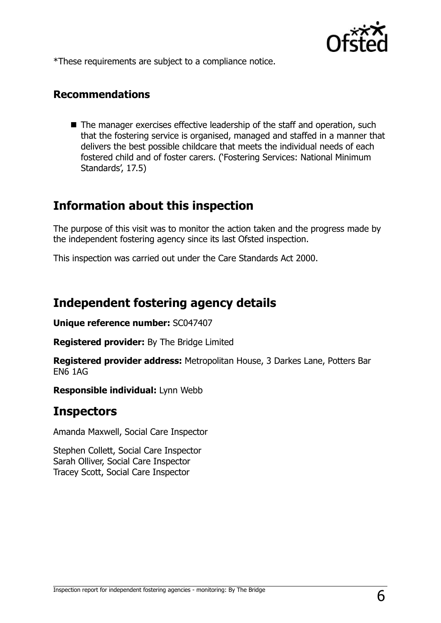

\*These requirements are subject to a compliance notice.

#### **Recommendations**

■ The manager exercises effective leadership of the staff and operation, such that the fostering service is organised, managed and staffed in a manner that delivers the best possible childcare that meets the individual needs of each fostered child and of foster carers. ('Fostering Services: National Minimum Standards', 17.5)

# **Information about this inspection**

The purpose of this visit was to monitor the action taken and the progress made by the independent fostering agency since its last Ofsted inspection.

This inspection was carried out under the Care Standards Act 2000.

## **Independent fostering agency details**

**Unique reference number:** SC047407

**Registered provider:** By The Bridge Limited

**Registered provider address:** Metropolitan House, 3 Darkes Lane, Potters Bar EN6 1AG

**Responsible individual:** Lynn Webb

## **Inspectors**

Amanda Maxwell, Social Care Inspector

Stephen Collett, Social Care Inspector Sarah Olliver, Social Care Inspector Tracey Scott, Social Care Inspector